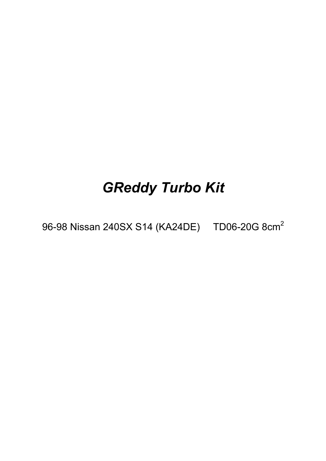# *GReddy Turbo Kit*

96-98 Nissan 240SX S14 (KA24DE) TD06-20G 8cm<sup>2</sup>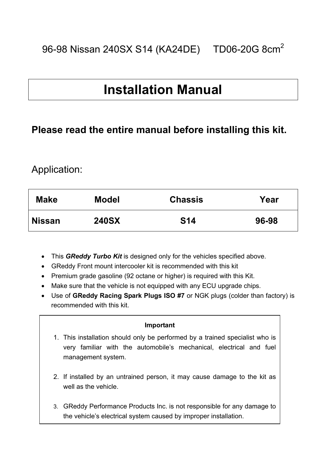# **Installation Manual**

# **Please read the entire manual before installing this kit.**

# Application:

| <b>Make</b>   | <b>Model</b> | <b>Chassis</b> | Year  |
|---------------|--------------|----------------|-------|
| <b>Nissan</b> | <b>240SX</b> | <b>S14</b>     | 96-98 |

- This *GReddy Turbo Kit* is designed only for the vehicles specified above.
- GReddy Front mount intercooler kit is recommended with this kit
- Premium grade gasoline (92 octane or higher) is required with this Kit.
- Make sure that the vehicle is not equipped with any ECU upgrade chips.
- Use of **GReddy Racing Spark Plugs ISO #7** or NGK plugs (colder than factory) is recommended with this kit.

### **Important**

- 1. This installation should only be performed by a trained specialist who is very familiar with the automobile's mechanical, electrical and fuel management system.
- 2. If installed by an untrained person, it may cause damage to the kit as well as the vehicle.
- 3. GReddy Performance Products Inc. is not responsible for any damage to the vehicle's electrical system caused by improper installation.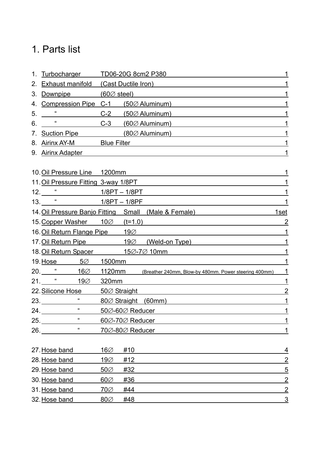# 1. Parts list

| $1_{-}$ |                                      | Turbocharger TD06-20G 8cm2 P380                                       |                |  |
|---------|--------------------------------------|-----------------------------------------------------------------------|----------------|--|
|         |                                      | 2. Exhaust manifold (Cast Ductile Iron)                               |                |  |
|         | 3. Downpipe $(60\% \text{ steel})$   |                                                                       |                |  |
|         |                                      | 4. Compression Pipe C-1 (500 Aluminum)                                |                |  |
|         | 5.                                   | $C-2$ (50 $\oslash$ Aluminum)                                         |                |  |
| 6.      |                                      | $C-3$ (60 $\oslash$ Aluminum)                                         |                |  |
|         |                                      | 7. Suction Pipe (80% Aluminum)                                        |                |  |
|         | 8. Airinx AY-M Blue Filter           |                                                                       |                |  |
|         | 9. Airinx Adapter                    |                                                                       |                |  |
|         |                                      |                                                                       |                |  |
|         | 10. Oil Pressure Line 1200mm         |                                                                       |                |  |
|         | 11. Oil Pressure Fitting 3-way 1/8PT |                                                                       |                |  |
|         |                                      |                                                                       |                |  |
|         | 13. <u>" 1/8PT – 1/8PF</u>           |                                                                       |                |  |
|         |                                      | 14. Oil Pressure Banjo Fitting Small (Male & Female)                  | 1set           |  |
|         | 15. Copper Washer 100 (t=1.0)        |                                                                       | 2              |  |
|         | 16. Oil Return Flange Pipe 190       |                                                                       |                |  |
|         |                                      | 17. Oil Return Pipe 190 (Weld-on Type)                                |                |  |
|         |                                      | 18. Oil Return Spacer 150-70 10mm                                     |                |  |
|         | 19. Hose 5 $\varnothing$ 1500mm      |                                                                       |                |  |
|         |                                      | 20. "160 1120mm (Breather 240mm, Blow-by 480mm. Power steering 400mm) |                |  |
|         | 21. <u>" 190 320mm</u>               |                                                                       |                |  |
|         | 22. Silicone Hose 50⊘ Straight       |                                                                       | 2              |  |
|         | 23.                                  | 80 $\oslash$ Straight (60mm)                                          |                |  |
| 24.     | $\alpha$                             | 50Ø-60Ø Reducer                                                       | 1              |  |
|         | $\pmb{\mathfrak{c}}$<br>25.          | 60Ø-70Ø Reducer                                                       |                |  |
| 26.     | $\alpha$                             | <u>70∅-80∅ Reducer</u>                                                | 1              |  |
|         |                                      |                                                                       |                |  |
|         | 27. Hose band                        | $16\varnothing$<br>#10                                                | 4              |  |
|         | 28. Hose band                        | 19Ø<br>#12                                                            | $\overline{2}$ |  |
|         | 29. Hose band                        | $50\varnothing$<br>#32                                                | $\overline{5}$ |  |
|         | 30. Hose band                        | #36<br>$60\varnothing$                                                | $\overline{2}$ |  |
|         | 31. Hose band                        | $70\varnothing$<br>#44                                                | $\overline{2}$ |  |
|         | 32. Hose band                        | $80\%$<br>#48                                                         | $\overline{3}$ |  |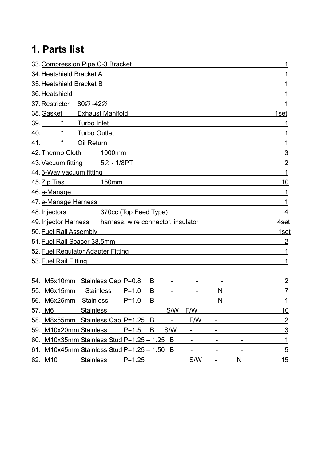# **1. Parts list**

| 33. Compression Pipe C-3 Bracket<br>1                   |                |  |  |  |
|---------------------------------------------------------|----------------|--|--|--|
| 34. Heatshield Bracket A                                |                |  |  |  |
| 35. Heatshield Bracket B                                |                |  |  |  |
| 36. Heatshield                                          |                |  |  |  |
| 37. Restricter 80Ø-42Ø                                  |                |  |  |  |
| 38. Gasket Exhaust Manifold                             | 1set           |  |  |  |
| 39. <b>*</b> Turbo Inlet                                |                |  |  |  |
| 40. <b>***</b> Turbo Outlet                             |                |  |  |  |
| 41. <b>41.</b> "Oil Return                              | 1              |  |  |  |
| 42. Thermo Cloth 1000mm                                 | 3              |  |  |  |
| 43. Vacuum fitting $5\varnothing$ - 1/8PT               | $\overline{2}$ |  |  |  |
| 44.3-Way vacuum fitting                                 | 1              |  |  |  |
| 45. Zip Ties 150mm                                      | 10             |  |  |  |
| 46. e-Manage                                            | 1              |  |  |  |
| 47. e-Manage Harness                                    |                |  |  |  |
| 48. Injectors 370cc (Top Feed Type)                     | 4              |  |  |  |
| 49. Injector Harness harness, wire connector, insulator |                |  |  |  |
| 50. Fuel Rail Assembly                                  |                |  |  |  |
| 51. Fuel Rail Spacer 38.5mm                             |                |  |  |  |
| 52. Fuel Regulator Adapter Fitting                      |                |  |  |  |
| 53. Fuel Rail Fitting                                   | 1              |  |  |  |
|                                                         |                |  |  |  |
| 54. M5x10mm Stainless Cap P=0.8<br>B                    | 2              |  |  |  |
| 55. M6x15mm<br>Stainless P=1.0<br>B<br>N                | 7              |  |  |  |
| 56. M6x25mm Stainless P=1.0<br>B<br>N                   | 1              |  |  |  |
| <b>Stainless</b><br>57. M6<br>S/W<br>F/W                | <u>10</u>      |  |  |  |
| 58. M8x55mm Stainless Cap P=1.25<br>F/W<br>B            | $\overline{2}$ |  |  |  |
| 59. M10x20mm Stainless<br>$P = 1.5$<br>S/W<br>B         | $\overline{3}$ |  |  |  |
| 60. M10x35mm Stainless Stud P=1.25 - 1.25<br>B          | $\mathbf 1$    |  |  |  |
| 61. M10x45mm Stainless Stud P=1.25 - 1.50<br>B          | $\overline{5}$ |  |  |  |
| S/W<br>62. M10<br><b>Stainless</b><br>N<br>$P = 1.25$   | 15             |  |  |  |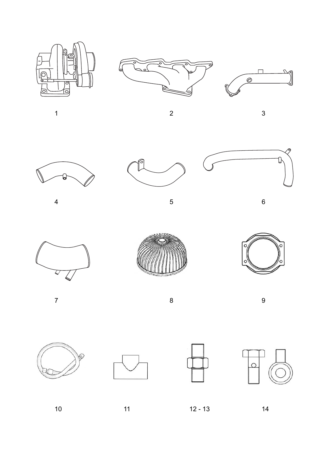













 $4\hspace{1.5cm}5\hspace{1.5cm}6$ 









7 8 9









10 11 12 - 13 14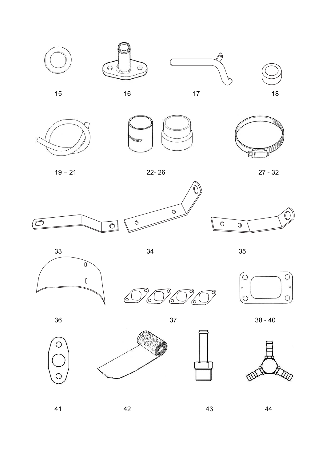



 $\hat{\mathcal{O}}$ 15 16 17 18











 $\circ$ 

Ō,

6







ි)

6













 $\circ$ 

 $\circ$ 

 $\circ$ 

41 42 43 44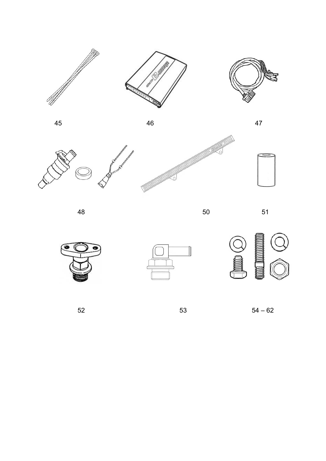





45 46 47







48 50 51











 $52$   $53$   $54-62$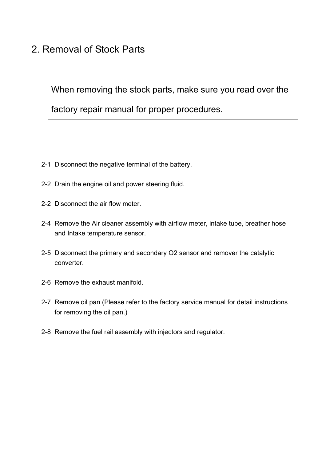# 2. Removal of Stock Parts

When removing the stock parts, make sure you read over the

factory repair manual for proper procedures.

- 2-1 Disconnect the negative terminal of the battery.
- 2-2 Drain the engine oil and power steering fluid.
- 2-2 Disconnect the air flow meter.
- 2-4 Remove the Air cleaner assembly with airflow meter, intake tube, breather hose and Intake temperature sensor.
- 2-5 Disconnect the primary and secondary O2 sensor and remover the catalytic converter.
- 2-6 Remove the exhaust manifold.
- 2-7 Remove oil pan (Please refer to the factory service manual for detail instructions for removing the oil pan.)
- 2-8 Remove the fuel rail assembly with injectors and regulator.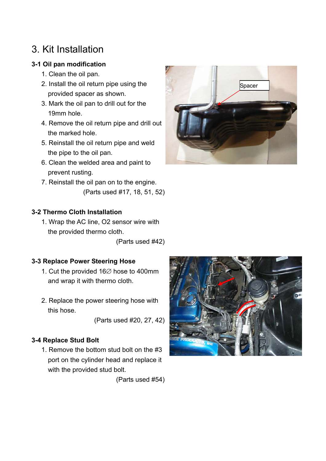# 3. Kit Installation

### **3-1 Oil pan modification**

- 1. Clean the oil pan.
- 2. Install the oil return pipe using the provided spacer as shown.
- 3. Mark the oil pan to drill out for the 19mm hole.
- 4. Remove the oil return pipe and drill out the marked hole.
- 5. Reinstall the oil return pipe and weld the pipe to the oil pan.
- 6. Clean the welded area and paint to prevent rusting.
- 7. Reinstall the oil pan on to the engine. (Parts used #17, 18, 51, 52)

# Spacer

### **3-2 Thermo Cloth Installation**

1. Wrap the AC line, O2 sensor wire with the provided thermo cloth.

(Parts used #42)

### **3-3 Replace Power Steering Hose**

- 1. Cut the provided 16∅ hose to 400mm and wrap it with thermo cloth.
- 2. Replace the power steering hose with this hose.

(Parts used #20, 27, 42)

### **3-4 Replace Stud Bolt**

1. Remove the bottom stud bolt on the #3 port on the cylinder head and replace it with the provided stud bolt.

(Parts used #54)

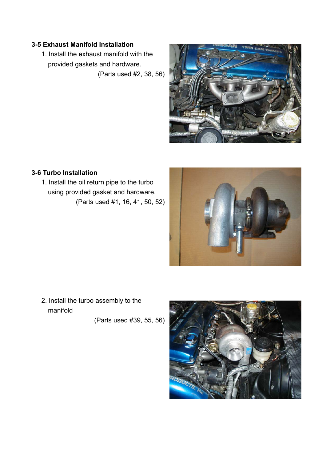### **3-5 Exhaust Manifold Installation**

1. Install the exhaust manifold with the provided gaskets and hardware.

(Parts used #2, 38, 56)



### **3-6 Turbo Installation**

1. Install the oil return pipe to the turbo using provided gasket and hardware. (Parts used #1, 16, 41, 50, 52)



2. Install the turbo assembly to the manifold

(Parts used #39, 55, 56)

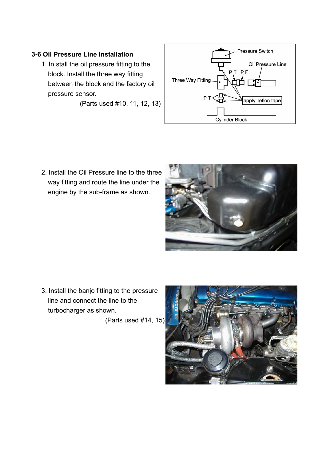### **3-6 Oil Pressure Line Installation**

1. In stall the oil pressure fitting to the block. Install the three way fitting between the block and the factory oil pressure sensor.

(Parts used #10, 11, 12, 13)



2. Install the Oil Pressure line to the three way fitting and route the line under the engine by the sub-frame as shown.



3. Install the banjo fitting to the pressure line and connect the line to the turbocharger as shown.

(Parts used #14, 15)

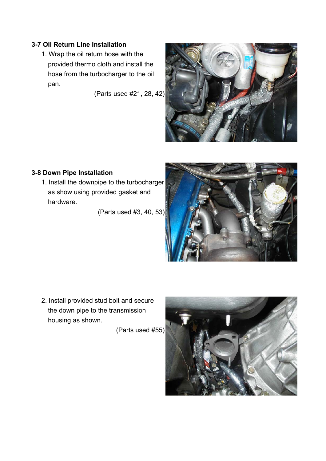### **3-7 Oil Return Line Installation**

1. Wrap the oil return hose with the provided thermo cloth and install the hose from the turbocharger to the oil pan.

(Parts used #21, 28, 42)



### **3-8 Down Pipe Installation**

1. Install the downpipe to the turbocharger as show using provided gasket and hardware.

(Parts used #3, 40, 53)



2. Install provided stud bolt and secure the down pipe to the transmission housing as shown.

(Parts used #55)

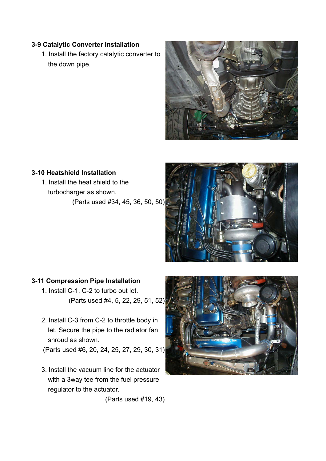### **3-9 Catalytic Converter Installation**

1. Install the factory catalytic converter to the down pipe.



### **3-10 Heatshield Installation**

1. Install the heat shield to the turbocharger as shown. (Parts used #34, 45, 36, 50, 50)



### **3-11 Compression Pipe Installation**

- 1. Install C-1, C-2 to turbo out let. (Parts used #4, 5, 22, 29, 51, 52)
- 2. Install C-3 from C-2 to throttle body in let. Secure the pipe to the radiator fan shroud as shown.

(Parts used #6, 20, 24, 25, 27, 29, 30, 31)

3. Install the vacuum line for the actuator with a 3way tee from the fuel pressure regulator to the actuator.



(Parts used #19, 43)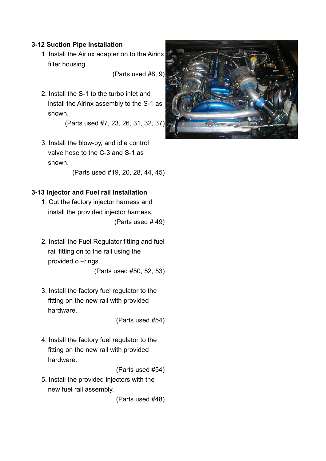### **3-12 Suction Pipe Installation**

1. Install the Airinx adapter on to the Airinx filter housing.

(Parts used #8, 9)

2. Install the S-1 to the turbo inlet and install the Airinx assembly to the S-1 as shown.

(Parts used #7, 23, 26, 31, 32, 37)

3. Install the blow-by, and idle control valve hose to the C-3 and S-1 as shown.

(Parts used #19, 20, 28, 44, 45)

### **3-13 Injector and Fuel rail Installation**

- 1. Cut the factory injector harness and install the provided injector harness. (Parts used # 49)
- 2. Install the Fuel Regulator fitting and fuel rail fitting on to the rail using the provided o –rings.

(Parts used #50, 52, 53)

3. Install the factory fuel regulator to the fitting on the new rail with provided hardware.

(Parts used #54)

4. Install the factory fuel regulator to the fitting on the new rail with provided hardware.

(Parts used #54)

5. Install the provided injectors with the new fuel rail assembly.

(Parts used #48)

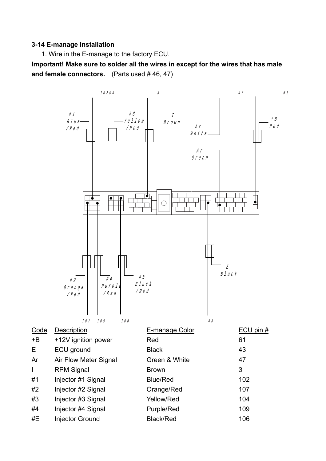### **3-14 E-manage Installation**

1. Wire in the E-manage to the factory ECU.

**Important! Make sure to solder all the wires in except for the wires that has male and female connectors.** (Parts used # 46, 47)

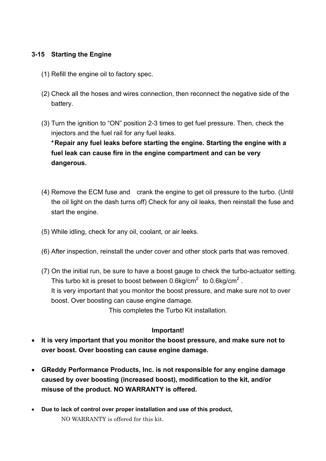### **3-15 Starting the Engine**

- (1) Refill the engine oil to factory spec.
- (2) Check all the hoses and wires connection, then reconnect the negative side of the battery.
- (3) Turn the ignition to "ON" position 2-3 times to get fuel pressure. Then, check the injectors and the fuel rail for any fuel leaks.

 **\* Repair any fuel leaks before starting the engine. Starting the engine with a fuel leak can cause fire in the engine compartment and can be very dangerous.** 

- (4) Remove the ECM fuse and crank the engine to get oil pressure to the turbo. (Until the oil light on the dash turns off) Check for any oil leaks, then reinstall the fuse and start the engine.
- (5) While idling, check for any oil, coolant, or air leeks.
- (6) After inspection, reinstall the under cover and other stock parts that was removed.
- (7) On the initial run, be sure to have a boost gauge to check the turbo-actuator setting. This turbo kit is preset to boost between 0.6kg/cm<sup>2</sup> to 0.6kg/cm<sup>2</sup>. It is very important that you monitor the boost pressure, and make sure not to over boost. Over boosting can cause engine damage.

This completes the Turbo Kit installation.

### **Important!**

- **It is very important that you monitor the boost pressure, and make sure not to over boost. Over boosting can cause engine damage.**
- **GReddy Performance Products, Inc. is not responsible for any engine damage caused by over boosting (increased boost), modification to the kit, and/or misuse of the product. NO WARRANTY is offered.**
- **Due to lack of control over proper installation and use of this product,**  NO WARRANTY is offered for this kit.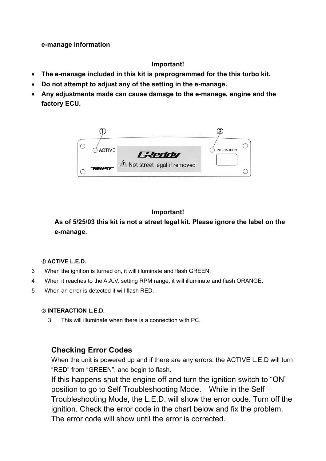### **e-manage Information**

### **Important!**

- **The e-manage included in this kit is preprogrammed for the this turbo kit.**
- **Do not attempt to adjust any of the setting in the e-manage.**
- **Any adjustments made can cause damage to the e-manage, engine and the factory ECU.**



### **Important!**

**As of 5/25/03 this kit is not a street legal kit. Please ignore the label on the e-manage.**

### **ACTIVE L.E.D.**

- 3 When the ignition is turned on, it will illuminate and flash GREEN.
- 4 When it reaches to the A.A.V. setting RPM range, it will illuminate and flash ORANGE.
- 5 When an error is detected it will flash RED.

### **INTERACTION L.E.D.**

3 This will illuminate when there is a connection with PC.

### **Checking Error Codes**

When the unit is powered up and if there are any errors, the ACTIVE L.E.D will turn "RED" from "GREEN", and begin to flash.

If this happens shut the engine off and turn the ignition switch to "ON" position to go to Self Troubleshooting Mode. While in the Self Troubleshooting Mode, the L.E.D. will show the error code. Turn off the ignition. Check the error code in the chart below and fix the problem. The error code will show until the error is corrected.